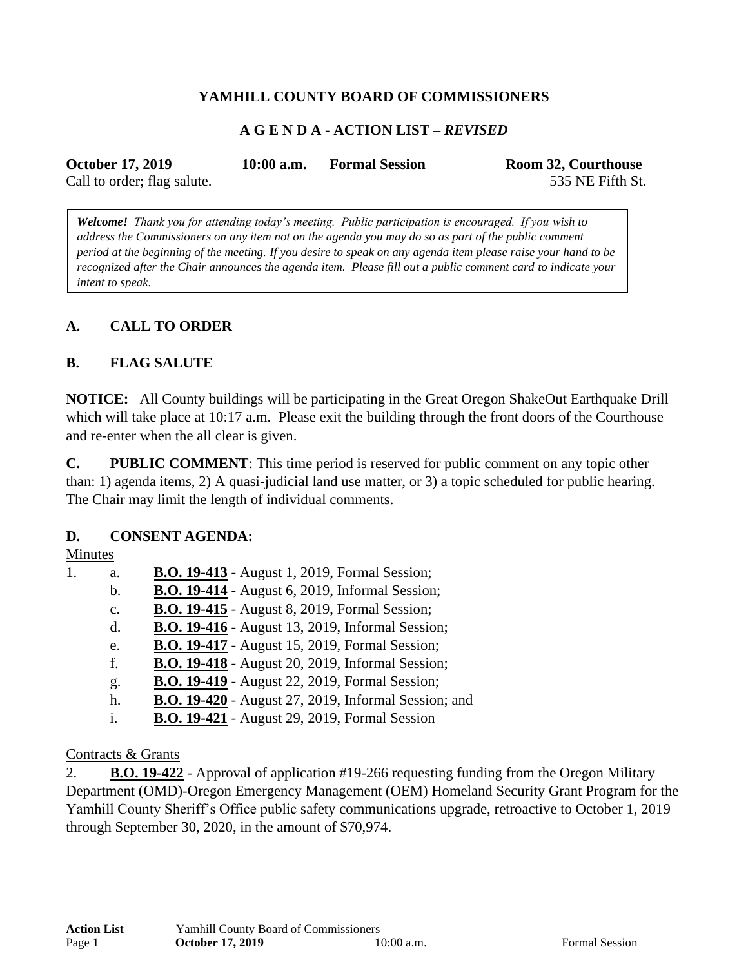## **YAMHILL COUNTY BOARD OF COMMISSIONERS**

## **A G E N D A - ACTION LIST –** *REVISED*

| <b>October 17, 2019</b>     | $10:00$ a.m. | <b>Formal Session</b> | Room 32, Courthouse |
|-----------------------------|--------------|-----------------------|---------------------|
| Call to order; flag salute. |              |                       | 535 NE Fifth St.    |

*Welcome! Thank you for attending today's meeting. Public participation is encouraged. If you wish to address the Commissioners on any item not on the agenda you may do so as part of the public comment period at the beginning of the meeting. If you desire to speak on any agenda item please raise your hand to be recognized after the Chair announces the agenda item. Please fill out a public comment card to indicate your intent to speak.*

## **A. CALL TO ORDER**

### **B. FLAG SALUTE**

**NOTICE:** All County buildings will be participating in the Great Oregon ShakeOut Earthquake Drill which will take place at 10:17 a.m. Please exit the building through the front doors of the Courthouse and re-enter when the all clear is given.

**C. PUBLIC COMMENT**: This time period is reserved for public comment on any topic other than: 1) agenda items, 2) A quasi-judicial land use matter, or 3) a topic scheduled for public hearing. The Chair may limit the length of individual comments.

#### **D. CONSENT AGENDA:**

#### Minutes

1. a. **B.O. 19-413** - August 1, 2019, Formal Session; b. **B.O. 19-414** - August 6, 2019, Informal Session; c. **B.O. 19-415** - August 8, 2019, Formal Session; d. **B.O. 19-416** - August 13, 2019, Informal Session; e. **B.O. 19-417** - August 15, 2019, Formal Session; f. **B.O. 19-418** - August 20, 2019, Informal Session; g. **B.O. 19-419** - August 22, 2019, Formal Session; h. **B.O. 19-420** - August 27, 2019, Informal Session; and i. **B.O. 19-421** - August 29, 2019, Formal Session

#### Contracts & Grants

2. **B.O. 19-422** - Approval of application #19-266 requesting funding from the Oregon Military Department (OMD)-Oregon Emergency Management (OEM) Homeland Security Grant Program for the Yamhill County Sheriff's Office public safety communications upgrade, retroactive to October 1, 2019 through September 30, 2020, in the amount of \$70,974.